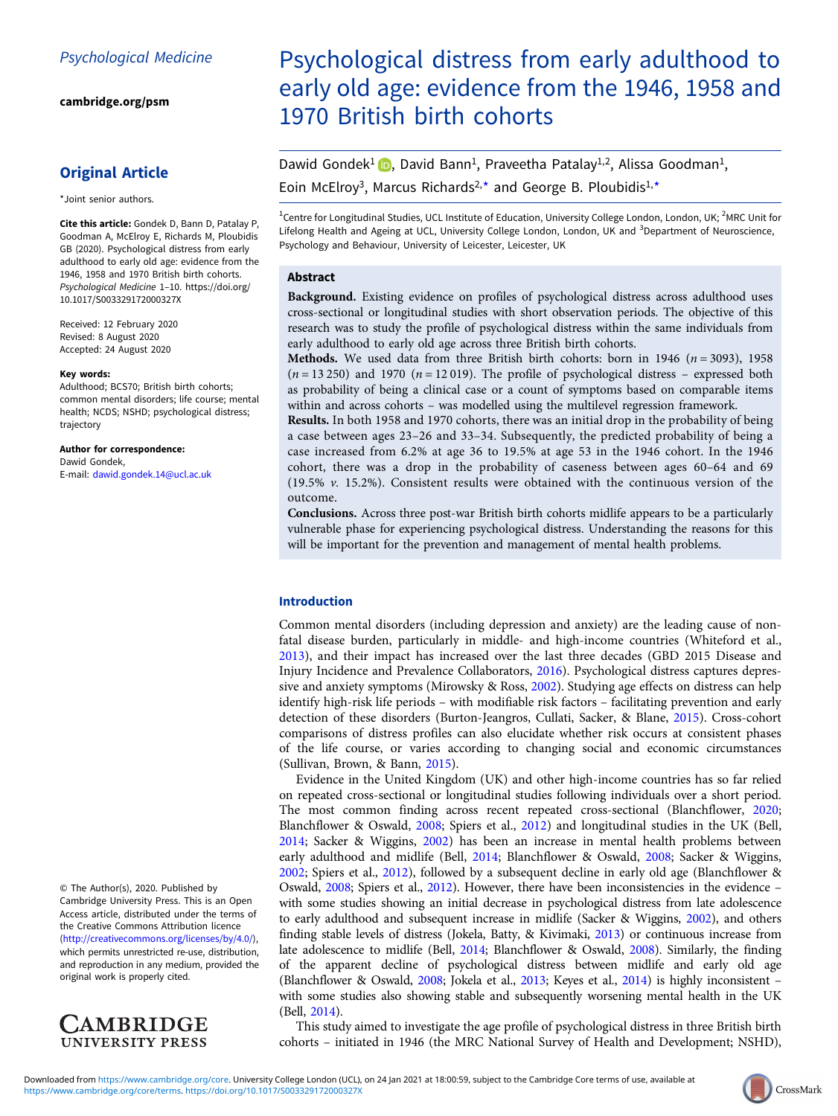[cambridge.org/psm](https://www.cambridge.org/psm)

## Original Article

\*Joint senior authors.

Cite this article: Gondek D, Bann D, Patalay P, Goodman A, McElroy E, Richards M, Ploubidis GB (2020). Psychological distress from early adulthood to early old age: evidence from the 1946, 1958 and 1970 British birth cohorts. Psychological Medicine 1–10. [https://doi.org/](https://doi.org/10.1017/S003329172000327X) [10.1017/S003329172000327X](https://doi.org/10.1017/S003329172000327X)

Received: 12 February 2020 Revised: 8 August 2020 Accepted: 24 August 2020

#### Key words:

Adulthood; BCS70; British birth cohorts; common mental disorders; life course; mental health; NCDS; NSHD; psychological distress; trajectory

Author for correspondence: Dawid Gondek, E-mail: [dawid.gondek.14@ucl.ac.uk](mailto:dawid.gondek.14@ucl.ac.uk)

© The Author(s), 2020. Published by Cambridge University Press. This is an Open Access article, distributed under the terms of the Creative Commons Attribution licence ([http://creativecommons.org/licenses/by/4.0/\)](http://creativecommons.org/licenses/by/4.0/), which permits unrestricted re-use, distribution, and reproduction in any medium, provided the original work is properly cited.



# Psychological distress from early adulthood to early old age: evidence from the 1946, 1958 and 1970 British birth cohorts

Dawid Gondek<sup>1</sup> **D**, David Bann<sup>1</sup>, Praveetha Patalay<sup>1,2</sup>, Alissa Goodman<sup>1</sup>, Eoin McElroy<sup>3</sup>, Marcus Richards<sup>2,\*</sup> and George B. Ploubidis<sup>1,\*</sup>

<sup>1</sup>Centre for Longitudinal Studies, UCL Institute of Education, University College London, London, UK; <sup>2</sup>MRC Unit for Lifelong Health and Ageing at UCL, University College London, London, UK and <sup>3</sup>Department of Neuroscience, Psychology and Behaviour, University of Leicester, Leicester, UK

## Abstract

Background. Existing evidence on profiles of psychological distress across adulthood uses cross-sectional or longitudinal studies with short observation periods. The objective of this research was to study the profile of psychological distress within the same individuals from early adulthood to early old age across three British birth cohorts.

Methods. We used data from three British birth cohorts: born in 1946 ( $n = 3093$ ), 1958  $(n = 13 250)$  and 1970  $(n = 12 019)$ . The profile of psychological distress – expressed both as probability of being a clinical case or a count of symptoms based on comparable items within and across cohorts – was modelled using the multilevel regression framework.

Results. In both 1958 and 1970 cohorts, there was an initial drop in the probability of being a case between ages 23–26 and 33–34. Subsequently, the predicted probability of being a case increased from 6.2% at age 36 to 19.5% at age 53 in the 1946 cohort. In the 1946 cohort, there was a drop in the probability of caseness between ages 60–64 and 69 (19.5% v. 15.2%). Consistent results were obtained with the continuous version of the outcome.

Conclusions. Across three post-war British birth cohorts midlife appears to be a particularly vulnerable phase for experiencing psychological distress. Understanding the reasons for this will be important for the prevention and management of mental health problems.

## Introduction

Common mental disorders (including depression and anxiety) are the leading cause of nonfatal disease burden, particularly in middle- and high-income countries (Whiteford et al., [2013\)](#page-9-0), and their impact has increased over the last three decades (GBD 2015 Disease and Injury Incidence and Prevalence Collaborators, [2016\)](#page-8-0). Psychological distress captures depressive and anxiety symptoms (Mirowsky & Ross, [2002\)](#page-8-0). Studying age effects on distress can help identify high-risk life periods – with modifiable risk factors – facilitating prevention and early detection of these disorders (Burton-Jeangros, Cullati, Sacker, & Blane, [2015](#page-8-0)). Cross-cohort comparisons of distress profiles can also elucidate whether risk occurs at consistent phases of the life course, or varies according to changing social and economic circumstances (Sullivan, Brown, & Bann, [2015\)](#page-9-0).

Evidence in the United Kingdom (UK) and other high-income countries has so far relied on repeated cross-sectional or longitudinal studies following individuals over a short period. The most common finding across recent repeated cross-sectional (Blanchflower, [2020](#page-8-0); Blanchflower & Oswald, [2008;](#page-8-0) Spiers et al., [2012\)](#page-9-0) and longitudinal studies in the UK (Bell, [2014;](#page-8-0) Sacker & Wiggins, [2002\)](#page-9-0) has been an increase in mental health problems between early adulthood and midlife (Bell, [2014](#page-8-0); Blanchflower & Oswald, [2008](#page-8-0); Sacker & Wiggins, [2002;](#page-9-0) Spiers et al., [2012](#page-9-0)), followed by a subsequent decline in early old age (Blanchflower & Oswald, [2008](#page-8-0); Spiers et al., [2012\)](#page-9-0). However, there have been inconsistencies in the evidence – with some studies showing an initial decrease in psychological distress from late adolescence to early adulthood and subsequent increase in midlife (Sacker & Wiggins, [2002\)](#page-9-0), and others finding stable levels of distress (Jokela, Batty, & Kivimaki, [2013\)](#page-8-0) or continuous increase from late adolescence to midlife (Bell, [2014;](#page-8-0) Blanchflower & Oswald, [2008](#page-8-0)). Similarly, the finding of the apparent decline of psychological distress between midlife and early old age (Blanchflower & Oswald, [2008;](#page-8-0) Jokela et al., [2013](#page-8-0); Keyes et al., [2014](#page-8-0)) is highly inconsistent – with some studies also showing stable and subsequently worsening mental health in the UK (Bell, [2014\)](#page-8-0).

This study aimed to investigate the age profile of psychological distress in three British birth cohorts – initiated in 1946 (the MRC National Survey of Health and Development; NSHD),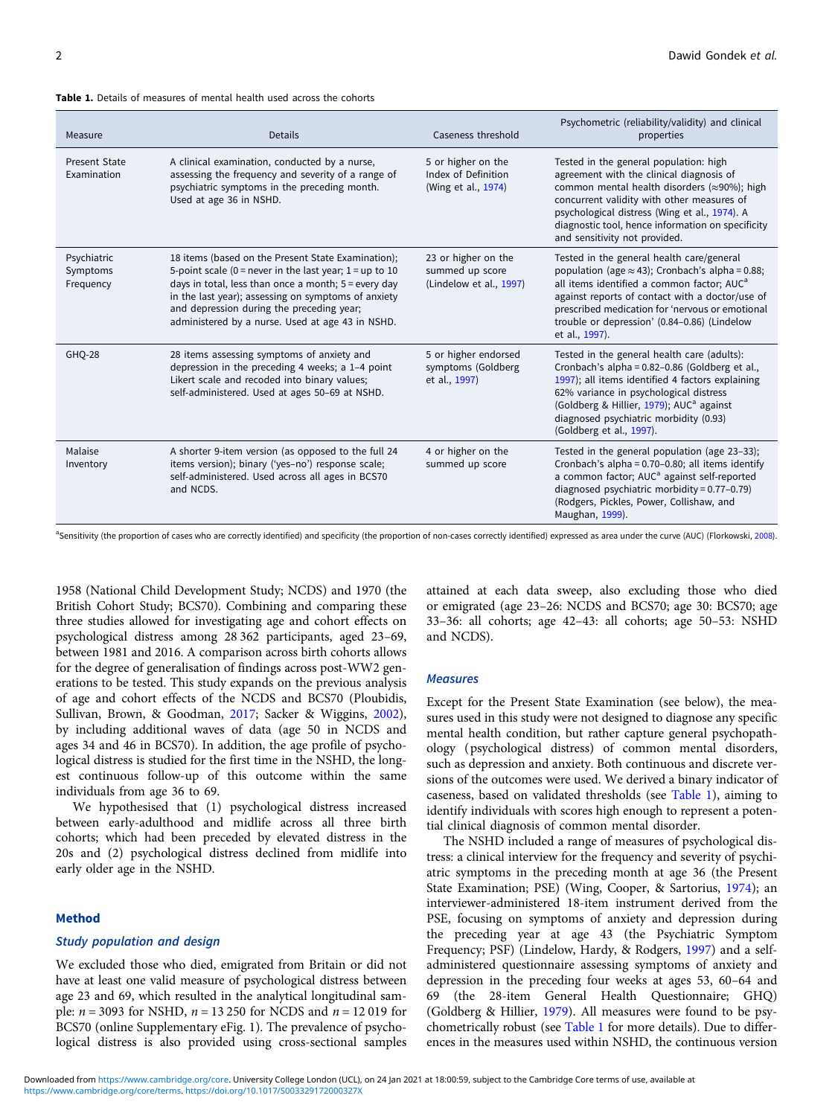#### Table 1. Details of measures of mental health used across the cohorts

| Measure                              | <b>Details</b>                                                                                                                                                                                                                                                                                                                  | Caseness threshold                                                | Psychometric (reliability/validity) and clinical<br>properties                                                                                                                                                                                                                                                                         |
|--------------------------------------|---------------------------------------------------------------------------------------------------------------------------------------------------------------------------------------------------------------------------------------------------------------------------------------------------------------------------------|-------------------------------------------------------------------|----------------------------------------------------------------------------------------------------------------------------------------------------------------------------------------------------------------------------------------------------------------------------------------------------------------------------------------|
| <b>Present State</b><br>Examination  | A clinical examination, conducted by a nurse,<br>assessing the frequency and severity of a range of<br>psychiatric symptoms in the preceding month.<br>Used at age 36 in NSHD.                                                                                                                                                  | 5 or higher on the<br>Index of Definition<br>(Wing et al., 1974)  | Tested in the general population: high<br>agreement with the clinical diagnosis of<br>common mental health disorders ( $\approx$ 90%); high<br>concurrent validity with other measures of<br>psychological distress (Wing et al., 1974). A<br>diagnostic tool, hence information on specificity<br>and sensitivity not provided.       |
| Psychiatric<br>Symptoms<br>Frequency | 18 items (based on the Present State Examination);<br>5-point scale (0 = never in the last year; $1 = up$ to 10<br>days in total, less than once a month; 5 = every day<br>in the last year); assessing on symptoms of anxiety<br>and depression during the preceding year;<br>administered by a nurse. Used at age 43 in NSHD. | 23 or higher on the<br>summed up score<br>(Lindelow et al., 1997) | Tested in the general health care/general<br>population (age $\approx$ 43); Cronbach's alpha = 0.88;<br>all items identified a common factor; AUC <sup>a</sup><br>against reports of contact with a doctor/use of<br>prescribed medication for 'nervous or emotional<br>trouble or depression' (0.84-0.86) (Lindelow<br>et al., 1997). |
| <b>GHO-28</b>                        | 28 items assessing symptoms of anxiety and<br>depression in the preceding 4 weeks; a 1-4 point<br>Likert scale and recoded into binary values;<br>self-administered. Used at ages 50-69 at NSHD.                                                                                                                                | 5 or higher endorsed<br>symptoms (Goldberg<br>et al., 1997)       | Tested in the general health care (adults):<br>Cronbach's alpha = 0.82-0.86 (Goldberg et al.,<br>1997); all items identified 4 factors explaining<br>62% variance in psychological distress<br>(Goldberg & Hillier, 1979); AUC <sup>a</sup> against<br>diagnosed psychiatric morbidity (0.93)<br>(Goldberg et al., 1997).              |
| Malaise<br>Inventory                 | A shorter 9-item version (as opposed to the full 24<br>items version); binary ('yes-no') response scale;<br>self-administered. Used across all ages in BCS70<br>and NCDS.                                                                                                                                                       | 4 or higher on the<br>summed up score                             | Tested in the general population (age 23-33);<br>Cronbach's alpha = 0.70-0.80; all items identify<br>a common factor; AUC <sup>a</sup> against self-reported<br>diagnosed psychiatric morbidity = $0.77-0.79$ )<br>(Rodgers, Pickles, Power, Collishaw, and<br>Maughan, 1999).                                                         |

<sup>a</sup>Sensitivity (the proportion of cases who are correctly identified) and specificity (the proportion of non-cases correctly identified) expressed as area under the curve (AUC) (Florkowski, [2008](#page-8-0)).

1958 (National Child Development Study; NCDS) and 1970 (the British Cohort Study; BCS70). Combining and comparing these three studies allowed for investigating age and cohort effects on psychological distress among 28 362 participants, aged 23–69, between 1981 and 2016. A comparison across birth cohorts allows for the degree of generalisation of findings across post-WW2 generations to be tested. This study expands on the previous analysis of age and cohort effects of the NCDS and BCS70 (Ploubidis, Sullivan, Brown, & Goodman, [2017;](#page-9-0) Sacker & Wiggins, [2002\)](#page-9-0), by including additional waves of data (age 50 in NCDS and ages 34 and 46 in BCS70). In addition, the age profile of psychological distress is studied for the first time in the NSHD, the longest continuous follow-up of this outcome within the same individuals from age 36 to 69.

We hypothesised that (1) psychological distress increased between early-adulthood and midlife across all three birth cohorts; which had been preceded by elevated distress in the 20s and (2) psychological distress declined from midlife into early older age in the NSHD.

#### Method

### Study population and design

We excluded those who died, emigrated from Britain or did not have at least one valid measure of psychological distress between age 23 and 69, which resulted in the analytical longitudinal sample:  $n = 3093$  for NSHD,  $n = 13250$  for NCDS and  $n = 12019$  for BCS70 (online Supplementary eFig. 1). The prevalence of psychological distress is also provided using cross-sectional samples

attained at each data sweep, also excluding those who died or emigrated (age 23–26: NCDS and BCS70; age 30: BCS70; age 33–36: all cohorts; age 42–43: all cohorts; age 50–53: NSHD and NCDS).

#### **Measures**

Except for the Present State Examination (see below), the measures used in this study were not designed to diagnose any specific mental health condition, but rather capture general psychopathology (psychological distress) of common mental disorders, such as depression and anxiety. Both continuous and discrete versions of the outcomes were used. We derived a binary indicator of caseness, based on validated thresholds (see Table 1), aiming to identify individuals with scores high enough to represent a potential clinical diagnosis of common mental disorder.

The NSHD included a range of measures of psychological distress: a clinical interview for the frequency and severity of psychiatric symptoms in the preceding month at age 36 (the Present State Examination; PSE) (Wing, Cooper, & Sartorius, [1974](#page-9-0)); an interviewer-administered 18-item instrument derived from the PSE, focusing on symptoms of anxiety and depression during the preceding year at age 43 (the Psychiatric Symptom Frequency; PSF) (Lindelow, Hardy, & Rodgers, [1997\)](#page-8-0) and a selfadministered questionnaire assessing symptoms of anxiety and depression in the preceding four weeks at ages 53, 60–64 and 69 (the 28-item General Health Questionnaire; GHQ) (Goldberg & Hillier, [1979\)](#page-8-0). All measures were found to be psychometrically robust (see Table 1 for more details). Due to differences in the measures used within NSHD, the continuous version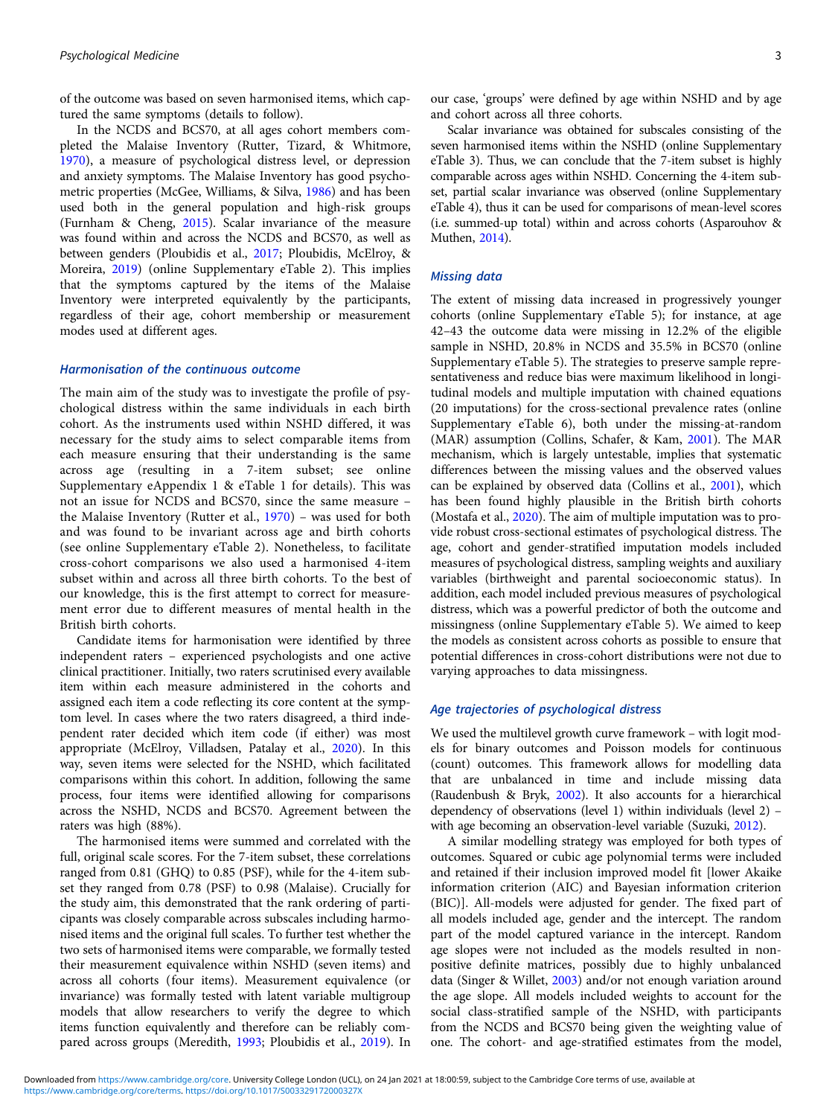of the outcome was based on seven harmonised items, which captured the same symptoms (details to follow).

In the NCDS and BCS70, at all ages cohort members completed the Malaise Inventory (Rutter, Tizard, & Whitmore, [1970\)](#page-9-0), a measure of psychological distress level, or depression and anxiety symptoms. The Malaise Inventory has good psychometric properties (McGee, Williams, & Silva, [1986\)](#page-8-0) and has been used both in the general population and high-risk groups (Furnham & Cheng, [2015](#page-8-0)). Scalar invariance of the measure was found within and across the NCDS and BCS70, as well as between genders (Ploubidis et al., [2017](#page-9-0); Ploubidis, McElroy, & Moreira, [2019\)](#page-9-0) (online Supplementary eTable 2). This implies that the symptoms captured by the items of the Malaise Inventory were interpreted equivalently by the participants, regardless of their age, cohort membership or measurement modes used at different ages.

## Harmonisation of the continuous outcome

The main aim of the study was to investigate the profile of psychological distress within the same individuals in each birth cohort. As the instruments used within NSHD differed, it was necessary for the study aims to select comparable items from each measure ensuring that their understanding is the same across age (resulting in a 7-item subset; see online Supplementary eAppendix 1 & eTable 1 for details). This was not an issue for NCDS and BCS70, since the same measure – the Malaise Inventory (Rutter et al., [1970](#page-9-0)) – was used for both and was found to be invariant across age and birth cohorts (see online Supplementary eTable 2). Nonetheless, to facilitate cross-cohort comparisons we also used a harmonised 4-item subset within and across all three birth cohorts. To the best of our knowledge, this is the first attempt to correct for measurement error due to different measures of mental health in the British birth cohorts.

Candidate items for harmonisation were identified by three independent raters – experienced psychologists and one active clinical practitioner. Initially, two raters scrutinised every available item within each measure administered in the cohorts and assigned each item a code reflecting its core content at the symptom level. In cases where the two raters disagreed, a third independent rater decided which item code (if either) was most appropriate (McElroy, Villadsen, Patalay et al., [2020](#page-8-0)). In this way, seven items were selected for the NSHD, which facilitated comparisons within this cohort. In addition, following the same process, four items were identified allowing for comparisons across the NSHD, NCDS and BCS70. Agreement between the raters was high (88%).

The harmonised items were summed and correlated with the full, original scale scores. For the 7-item subset, these correlations ranged from 0.81 (GHQ) to 0.85 (PSF), while for the 4-item subset they ranged from 0.78 (PSF) to 0.98 (Malaise). Crucially for the study aim, this demonstrated that the rank ordering of participants was closely comparable across subscales including harmonised items and the original full scales. To further test whether the two sets of harmonised items were comparable, we formally tested their measurement equivalence within NSHD (seven items) and across all cohorts (four items). Measurement equivalence (or invariance) was formally tested with latent variable multigroup models that allow researchers to verify the degree to which items function equivalently and therefore can be reliably compared across groups (Meredith, [1993](#page-8-0); Ploubidis et al., [2019\)](#page-9-0). In

our case, 'groups' were defined by age within NSHD and by age and cohort across all three cohorts.

Scalar invariance was obtained for subscales consisting of the seven harmonised items within the NSHD (online Supplementary eTable 3). Thus, we can conclude that the 7-item subset is highly comparable across ages within NSHD. Concerning the 4-item subset, partial scalar invariance was observed (online Supplementary eTable 4), thus it can be used for comparisons of mean-level scores (i.e. summed-up total) within and across cohorts (Asparouhov & Muthen, [2014](#page-8-0)).

## Missing data

The extent of missing data increased in progressively younger cohorts (online Supplementary eTable 5); for instance, at age 42–43 the outcome data were missing in 12.2% of the eligible sample in NSHD, 20.8% in NCDS and 35.5% in BCS70 (online Supplementary eTable 5). The strategies to preserve sample representativeness and reduce bias were maximum likelihood in longitudinal models and multiple imputation with chained equations (20 imputations) for the cross-sectional prevalence rates (online Supplementary eTable 6), both under the missing-at-random (MAR) assumption (Collins, Schafer, & Kam, [2001](#page-8-0)). The MAR mechanism, which is largely untestable, implies that systematic differences between the missing values and the observed values can be explained by observed data (Collins et al., [2001](#page-8-0)), which has been found highly plausible in the British birth cohorts (Mostafa et al., [2020\)](#page-8-0). The aim of multiple imputation was to provide robust cross-sectional estimates of psychological distress. The age, cohort and gender-stratified imputation models included measures of psychological distress, sampling weights and auxiliary variables (birthweight and parental socioeconomic status). In addition, each model included previous measures of psychological distress, which was a powerful predictor of both the outcome and missingness (online Supplementary eTable 5). We aimed to keep the models as consistent across cohorts as possible to ensure that potential differences in cross-cohort distributions were not due to varying approaches to data missingness.

## Age trajectories of psychological distress

We used the multilevel growth curve framework – with logit models for binary outcomes and Poisson models for continuous (count) outcomes. This framework allows for modelling data that are unbalanced in time and include missing data (Raudenbush & Bryk, [2002](#page-9-0)). It also accounts for a hierarchical dependency of observations (level 1) within individuals (level 2) – with age becoming an observation-level variable (Suzuki, [2012](#page-9-0)).

A similar modelling strategy was employed for both types of outcomes. Squared or cubic age polynomial terms were included and retained if their inclusion improved model fit [lower Akaike information criterion (AIC) and Bayesian information criterion (BIC)]. All-models were adjusted for gender. The fixed part of all models included age, gender and the intercept. The random part of the model captured variance in the intercept. Random age slopes were not included as the models resulted in nonpositive definite matrices, possibly due to highly unbalanced data (Singer & Willet, [2003\)](#page-9-0) and/or not enough variation around the age slope. All models included weights to account for the social class-stratified sample of the NSHD, with participants from the NCDS and BCS70 being given the weighting value of one. The cohort- and age-stratified estimates from the model,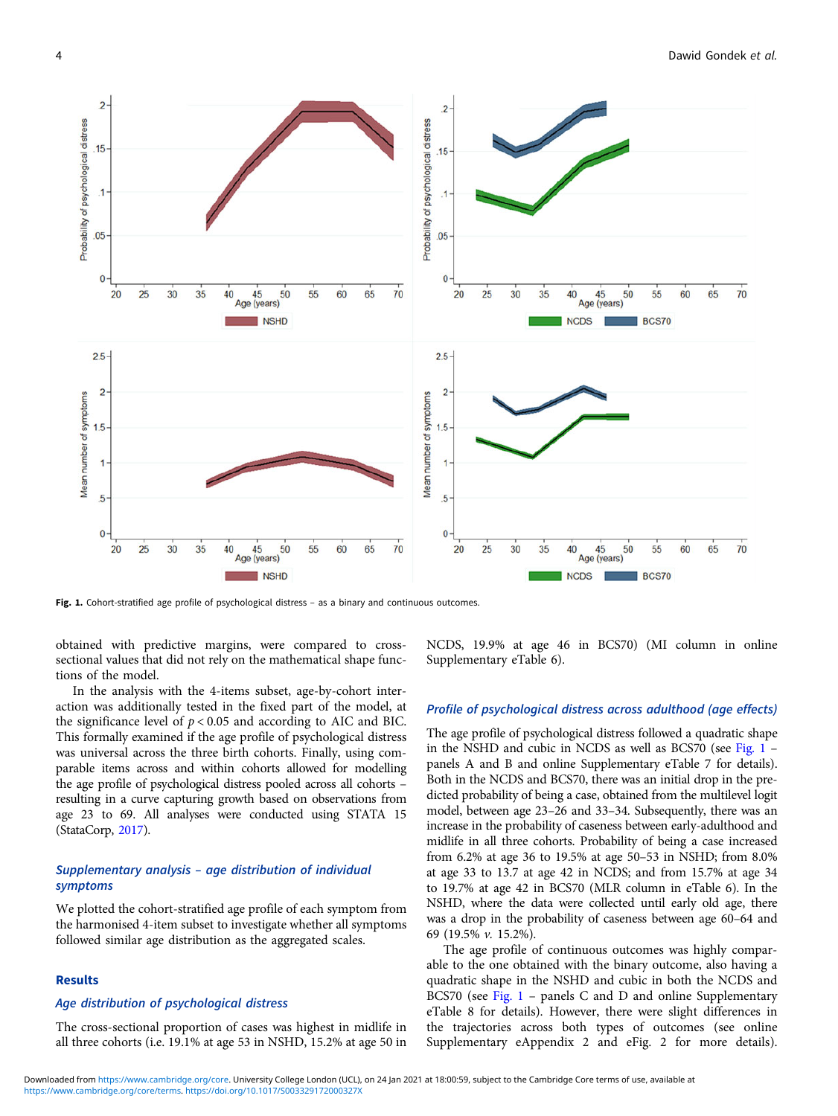

Fig. 1. Cohort-stratified age profile of psychological distress - as a binary and continuous outcomes.

obtained with predictive margins, were compared to crosssectional values that did not rely on the mathematical shape functions of the model.

In the analysis with the 4-items subset, age-by-cohort interaction was additionally tested in the fixed part of the model, at the significance level of  $p < 0.05$  and according to AIC and BIC. This formally examined if the age profile of psychological distress was universal across the three birth cohorts. Finally, using comparable items across and within cohorts allowed for modelling the age profile of psychological distress pooled across all cohorts – resulting in a curve capturing growth based on observations from age 23 to 69. All analyses were conducted using STATA 15 (StataCorp, [2017\)](#page-9-0).

## Supplementary analysis – age distribution of individual symptoms

We plotted the cohort-stratified age profile of each symptom from the harmonised 4-item subset to investigate whether all symptoms followed similar age distribution as the aggregated scales.

#### Results

## Age distribution of psychological distress

The cross-sectional proportion of cases was highest in midlife in all three cohorts (i.e. 19.1% at age 53 in NSHD, 15.2% at age 50 in NCDS, 19.9% at age 46 in BCS70) (MI column in online Supplementary eTable 6).

## Profile of psychological distress across adulthood (age effects)

The age profile of psychological distress followed a quadratic shape in the NSHD and cubic in NCDS as well as BCS70 (see Fig.  $1$ panels A and B and online Supplementary eTable 7 for details). Both in the NCDS and BCS70, there was an initial drop in the predicted probability of being a case, obtained from the multilevel logit model, between age 23–26 and 33–34. Subsequently, there was an increase in the probability of caseness between early-adulthood and midlife in all three cohorts. Probability of being a case increased from 6.2% at age 36 to 19.5% at age 50–53 in NSHD; from 8.0% at age 33 to 13.7 at age 42 in NCDS; and from 15.7% at age 34 to 19.7% at age 42 in BCS70 (MLR column in eTable 6). In the NSHD, where the data were collected until early old age, there was a drop in the probability of caseness between age 60–64 and 69 (19.5% v. 15.2%).

The age profile of continuous outcomes was highly comparable to the one obtained with the binary outcome, also having a quadratic shape in the NSHD and cubic in both the NCDS and BCS70 (see Fig. 1 – panels C and D and online Supplementary eTable 8 for details). However, there were slight differences in the trajectories across both types of outcomes (see online Supplementary eAppendix 2 and eFig. 2 for more details).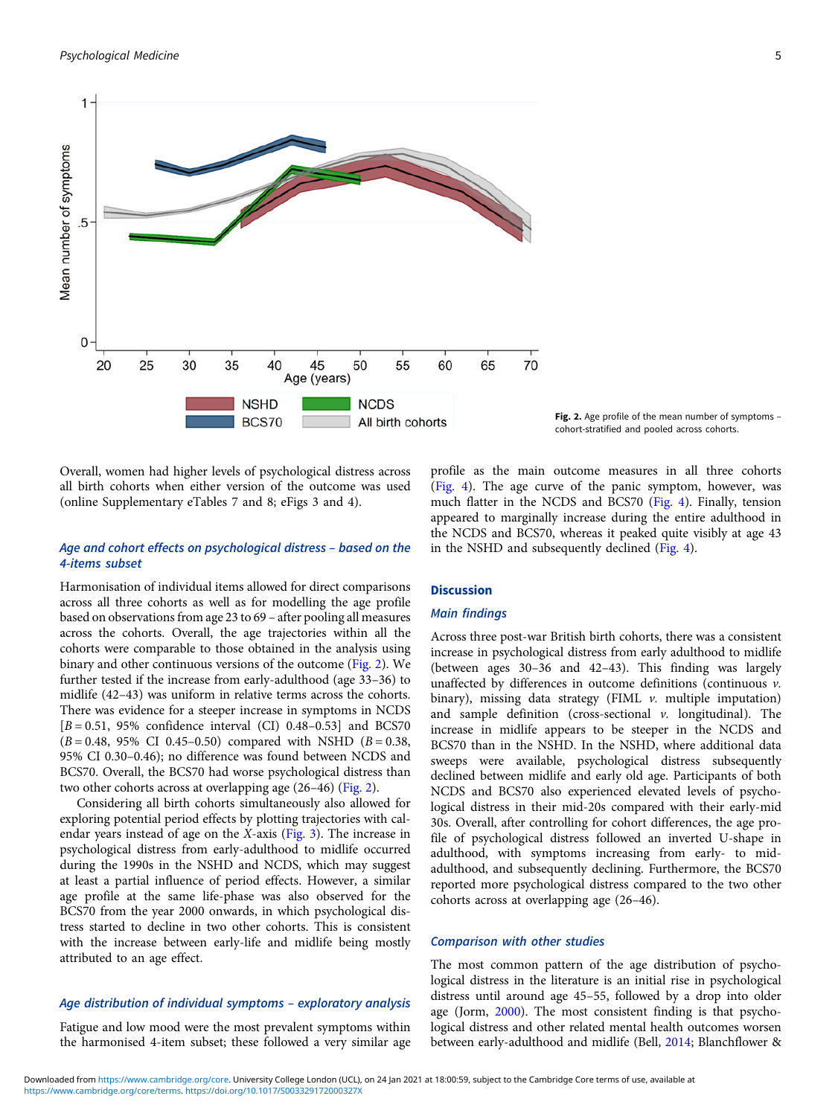

Fig. 2. Age profile of the mean number of symptoms cohort-stratified and pooled across cohorts.

Overall, women had higher levels of psychological distress across all birth cohorts when either version of the outcome was used (online Supplementary eTables 7 and 8; eFigs 3 and 4).

## Age and cohort effects on psychological distress – based on the 4-items subset

Harmonisation of individual items allowed for direct comparisons across all three cohorts as well as for modelling the age profile based on observations from age 23 to 69 – after pooling all measures across the cohorts. Overall, the age trajectories within all the cohorts were comparable to those obtained in the analysis using binary and other continuous versions of the outcome (Fig. 2). We further tested if the increase from early-adulthood (age 33–36) to midlife (42–43) was uniform in relative terms across the cohorts. There was evidence for a steeper increase in symptoms in NCDS  $[B = 0.51, 95\%$  confidence interval (CI) 0.48–0.53] and BCS70  $(B = 0.48, 95\% \text{ CI } 0.45 - 0.50)$  compared with NSHD  $(B = 0.38,$ 95% CI 0.30–0.46); no difference was found between NCDS and BCS70. Overall, the BCS70 had worse psychological distress than two other cohorts across at overlapping age (26–46) (Fig. 2).

Considering all birth cohorts simultaneously also allowed for exploring potential period effects by plotting trajectories with calendar years instead of age on the X-axis [\(Fig. 3\)](#page-5-0). The increase in psychological distress from early-adulthood to midlife occurred during the 1990s in the NSHD and NCDS, which may suggest at least a partial influence of period effects. However, a similar age profile at the same life-phase was also observed for the BCS70 from the year 2000 onwards, in which psychological distress started to decline in two other cohorts. This is consistent with the increase between early-life and midlife being mostly attributed to an age effect.

## Age distribution of individual symptoms – exploratory analysis

Fatigue and low mood were the most prevalent symptoms within the harmonised 4-item subset; these followed a very similar age

profile as the main outcome measures in all three cohorts [\(Fig. 4\)](#page-6-0). The age curve of the panic symptom, however, was much flatter in the NCDS and BCS70 [\(Fig. 4\)](#page-6-0). Finally, tension appeared to marginally increase during the entire adulthood in the NCDS and BCS70, whereas it peaked quite visibly at age 43 in the NSHD and subsequently declined ([Fig. 4](#page-6-0)).

## **Discussion**

## Main findings

Across three post-war British birth cohorts, there was a consistent increase in psychological distress from early adulthood to midlife (between ages 30–36 and 42–43). This finding was largely unaffected by differences in outcome definitions (continuous  $v$ . binary), missing data strategy (FIML  $\nu$ . multiple imputation) and sample definition (cross-sectional  $\nu$ . longitudinal). The increase in midlife appears to be steeper in the NCDS and BCS70 than in the NSHD. In the NSHD, where additional data sweeps were available, psychological distress subsequently declined between midlife and early old age. Participants of both NCDS and BCS70 also experienced elevated levels of psychological distress in their mid-20s compared with their early-mid 30s. Overall, after controlling for cohort differences, the age profile of psychological distress followed an inverted U-shape in adulthood, with symptoms increasing from early- to midadulthood, and subsequently declining. Furthermore, the BCS70 reported more psychological distress compared to the two other cohorts across at overlapping age (26–46).

### Comparison with other studies

The most common pattern of the age distribution of psychological distress in the literature is an initial rise in psychological distress until around age 45–55, followed by a drop into older age (Jorm, [2000](#page-8-0)). The most consistent finding is that psychological distress and other related mental health outcomes worsen between early-adulthood and midlife (Bell, [2014](#page-8-0); Blanchflower &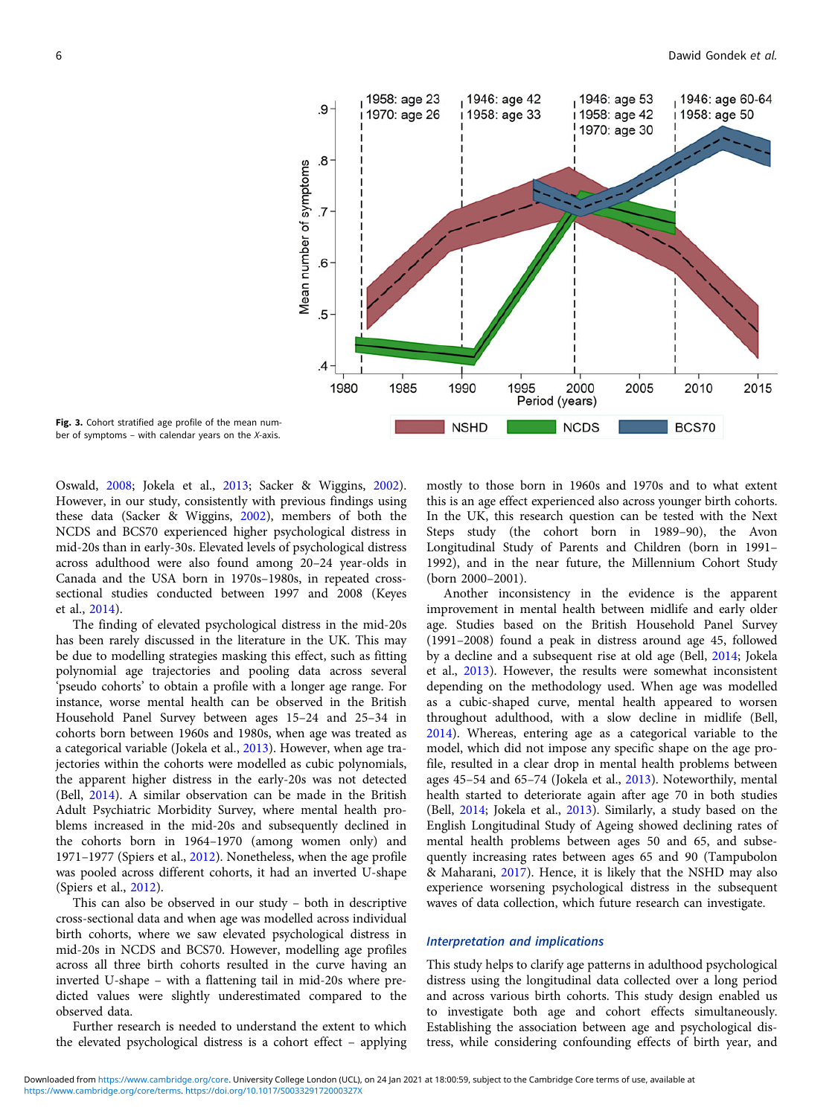<span id="page-5-0"></span>

Fig. 3. Cohort stratified age profile of the mean number of symptoms – with calendar years on the  $X$ -axis.

Oswald, [2008;](#page-8-0) Jokela et al., [2013;](#page-8-0) Sacker & Wiggins, [2002\)](#page-9-0). However, in our study, consistently with previous findings using these data (Sacker & Wiggins, [2002](#page-9-0)), members of both the NCDS and BCS70 experienced higher psychological distress in mid-20s than in early-30s. Elevated levels of psychological distress across adulthood were also found among 20–24 year-olds in Canada and the USA born in 1970s–1980s, in repeated crosssectional studies conducted between 1997 and 2008 (Keyes et al., [2014\)](#page-8-0).

The finding of elevated psychological distress in the mid-20s has been rarely discussed in the literature in the UK. This may be due to modelling strategies masking this effect, such as fitting polynomial age trajectories and pooling data across several 'pseudo cohorts' to obtain a profile with a longer age range. For instance, worse mental health can be observed in the British Household Panel Survey between ages 15–24 and 25–34 in cohorts born between 1960s and 1980s, when age was treated as a categorical variable (Jokela et al., [2013\)](#page-8-0). However, when age trajectories within the cohorts were modelled as cubic polynomials, the apparent higher distress in the early-20s was not detected (Bell, [2014\)](#page-8-0). A similar observation can be made in the British Adult Psychiatric Morbidity Survey, where mental health problems increased in the mid-20s and subsequently declined in the cohorts born in 1964–1970 (among women only) and 1971–1977 (Spiers et al., [2012](#page-9-0)). Nonetheless, when the age profile was pooled across different cohorts, it had an inverted U-shape (Spiers et al., [2012](#page-9-0)).

This can also be observed in our study – both in descriptive cross-sectional data and when age was modelled across individual birth cohorts, where we saw elevated psychological distress in mid-20s in NCDS and BCS70. However, modelling age profiles across all three birth cohorts resulted in the curve having an inverted U-shape – with a flattening tail in mid-20s where predicted values were slightly underestimated compared to the observed data.

Further research is needed to understand the extent to which the elevated psychological distress is a cohort effect – applying mostly to those born in 1960s and 1970s and to what extent this is an age effect experienced also across younger birth cohorts. In the UK, this research question can be tested with the Next Steps study (the cohort born in 1989–90), the Avon Longitudinal Study of Parents and Children (born in 1991– 1992), and in the near future, the Millennium Cohort Study (born 2000–2001).

Another inconsistency in the evidence is the apparent improvement in mental health between midlife and early older age. Studies based on the British Household Panel Survey (1991–2008) found a peak in distress around age 45, followed by a decline and a subsequent rise at old age (Bell, [2014](#page-8-0); Jokela et al., [2013\)](#page-8-0). However, the results were somewhat inconsistent depending on the methodology used. When age was modelled as a cubic-shaped curve, mental health appeared to worsen throughout adulthood, with a slow decline in midlife (Bell, [2014\)](#page-8-0). Whereas, entering age as a categorical variable to the model, which did not impose any specific shape on the age profile, resulted in a clear drop in mental health problems between ages 45–54 and 65–74 (Jokela et al., [2013\)](#page-8-0). Noteworthily, mental health started to deteriorate again after age 70 in both studies (Bell, [2014;](#page-8-0) Jokela et al., [2013\)](#page-8-0). Similarly, a study based on the English Longitudinal Study of Ageing showed declining rates of mental health problems between ages 50 and 65, and subsequently increasing rates between ages 65 and 90 (Tampubolon & Maharani, [2017](#page-9-0)). Hence, it is likely that the NSHD may also experience worsening psychological distress in the subsequent waves of data collection, which future research can investigate.

#### Interpretation and implications

This study helps to clarify age patterns in adulthood psychological distress using the longitudinal data collected over a long period and across various birth cohorts. This study design enabled us to investigate both age and cohort effects simultaneously. Establishing the association between age and psychological distress, while considering confounding effects of birth year, and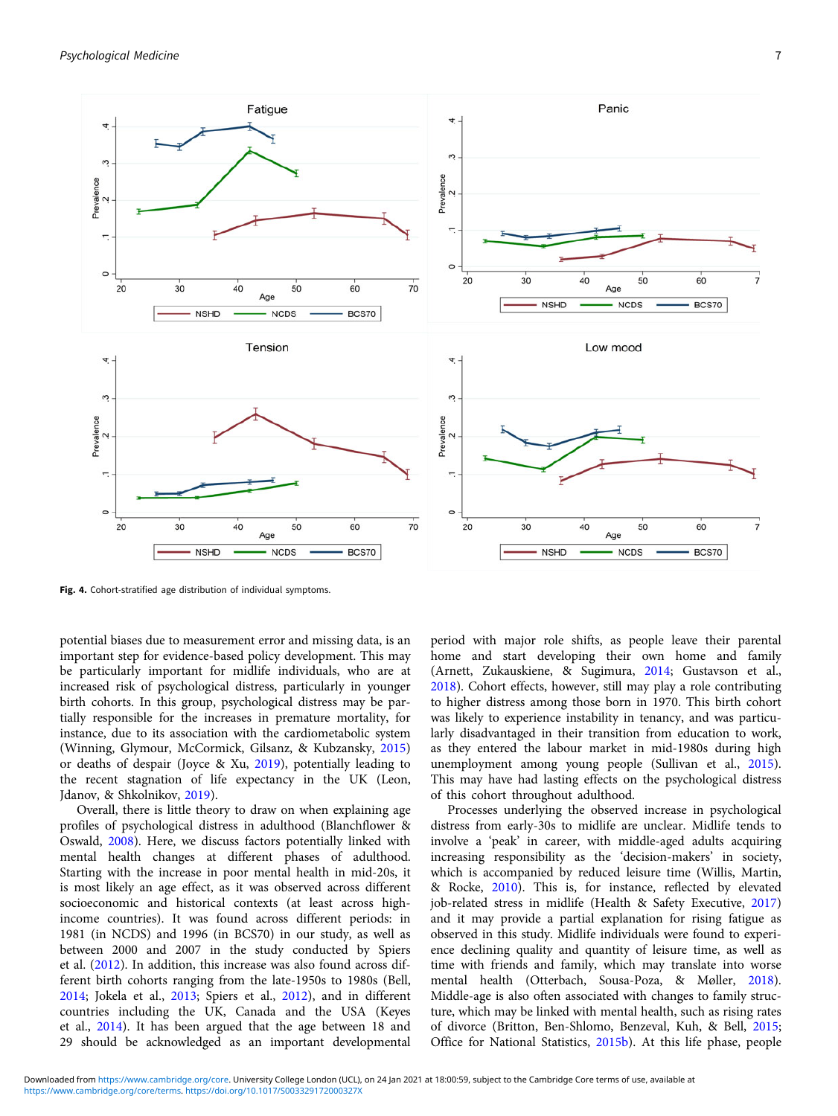<span id="page-6-0"></span>

Fig. 4. Cohort-stratified age distribution of individual symptoms.

potential biases due to measurement error and missing data, is an important step for evidence-based policy development. This may be particularly important for midlife individuals, who are at increased risk of psychological distress, particularly in younger birth cohorts. In this group, psychological distress may be partially responsible for the increases in premature mortality, for instance, due to its association with the cardiometabolic system (Winning, Glymour, McCormick, Gilsanz, & Kubzansky, [2015\)](#page-9-0) or deaths of despair (Joyce & Xu, [2019](#page-8-0)), potentially leading to the recent stagnation of life expectancy in the UK (Leon, Jdanov, & Shkolnikov, [2019\)](#page-8-0).

Overall, there is little theory to draw on when explaining age profiles of psychological distress in adulthood (Blanchflower & Oswald, [2008](#page-8-0)). Here, we discuss factors potentially linked with mental health changes at different phases of adulthood. Starting with the increase in poor mental health in mid-20s, it is most likely an age effect, as it was observed across different socioeconomic and historical contexts (at least across highincome countries). It was found across different periods: in 1981 (in NCDS) and 1996 (in BCS70) in our study, as well as between 2000 and 2007 in the study conducted by Spiers et al. [\(2012](#page-9-0)). In addition, this increase was also found across different birth cohorts ranging from the late-1950s to 1980s (Bell, [2014;](#page-8-0) Jokela et al., [2013;](#page-8-0) Spiers et al., [2012\)](#page-9-0), and in different countries including the UK, Canada and the USA (Keyes et al., [2014](#page-8-0)). It has been argued that the age between 18 and 29 should be acknowledged as an important developmental

period with major role shifts, as people leave their parental home and start developing their own home and family (Arnett, Zukauskiene, & Sugimura, [2014;](#page-8-0) Gustavson et al., [2018](#page-8-0)). Cohort effects, however, still may play a role contributing to higher distress among those born in 1970. This birth cohort was likely to experience instability in tenancy, and was particularly disadvantaged in their transition from education to work, as they entered the labour market in mid-1980s during high unemployment among young people (Sullivan et al., [2015](#page-9-0)). This may have had lasting effects on the psychological distress of this cohort throughout adulthood.

Processes underlying the observed increase in psychological distress from early-30s to midlife are unclear. Midlife tends to involve a 'peak' in career, with middle-aged adults acquiring increasing responsibility as the 'decision-makers' in society, which is accompanied by reduced leisure time (Willis, Martin, & Rocke, [2010\)](#page-9-0). This is, for instance, reflected by elevated job-related stress in midlife (Health & Safety Executive, [2017](#page-8-0)) and it may provide a partial explanation for rising fatigue as observed in this study. Midlife individuals were found to experience declining quality and quantity of leisure time, as well as time with friends and family, which may translate into worse mental health (Otterbach, Sousa-Poza, & Møller, [2018](#page-9-0)). Middle-age is also often associated with changes to family structure, which may be linked with mental health, such as rising rates of divorce (Britton, Ben-Shlomo, Benzeval, Kuh, & Bell, [2015](#page-8-0); Office for National Statistics, [2015b\)](#page-8-0). At this life phase, people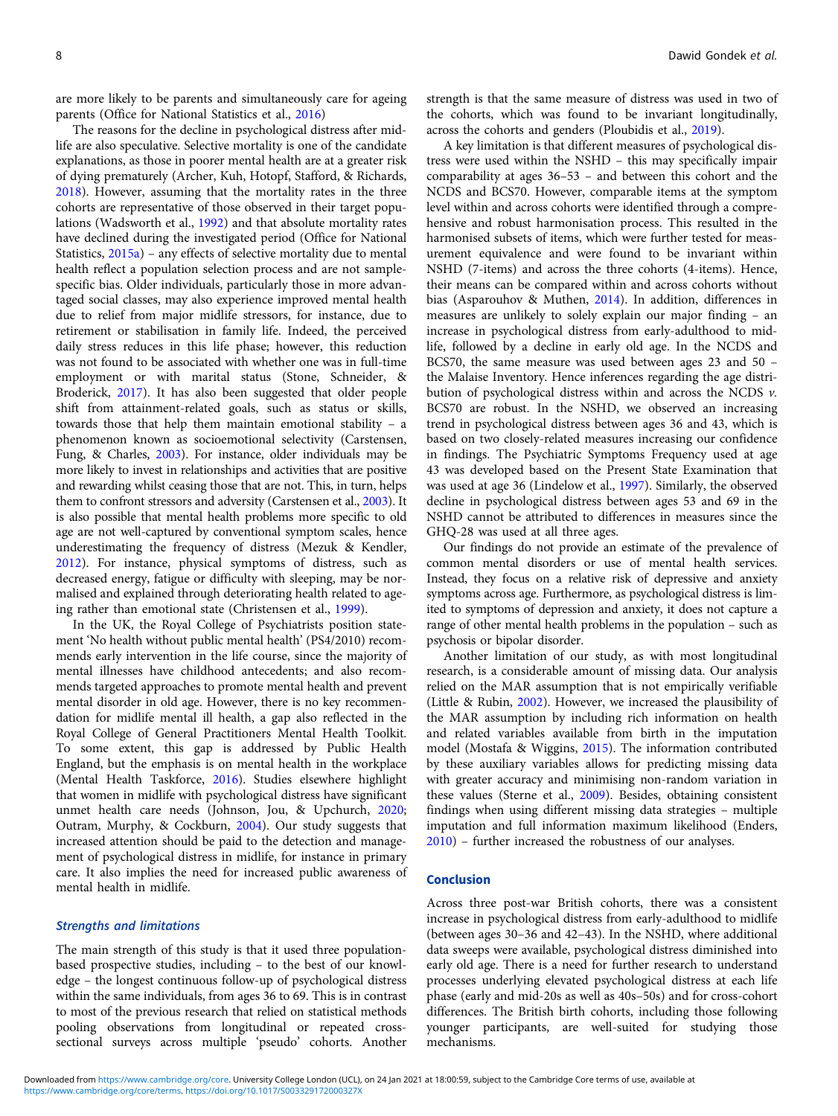are more likely to be parents and simultaneously care for ageing parents (Office for National Statistics et al., [2016](#page-9-0))

The reasons for the decline in psychological distress after midlife are also speculative. Selective mortality is one of the candidate explanations, as those in poorer mental health are at a greater risk of dying prematurely (Archer, Kuh, Hotopf, Stafford, & Richards, [2018\)](#page-8-0). However, assuming that the mortality rates in the three cohorts are representative of those observed in their target populations (Wadsworth et al., [1992](#page-9-0)) and that absolute mortality rates have declined during the investigated period (Office for National Statistics, [2015a](#page-8-0)) – any effects of selective mortality due to mental health reflect a population selection process and are not samplespecific bias. Older individuals, particularly those in more advantaged social classes, may also experience improved mental health due to relief from major midlife stressors, for instance, due to retirement or stabilisation in family life. Indeed, the perceived daily stress reduces in this life phase; however, this reduction was not found to be associated with whether one was in full-time employment or with marital status (Stone, Schneider, & Broderick, [2017](#page-9-0)). It has also been suggested that older people shift from attainment-related goals, such as status or skills, towards those that help them maintain emotional stability – a phenomenon known as socioemotional selectivity (Carstensen, Fung, & Charles, [2003\)](#page-8-0). For instance, older individuals may be more likely to invest in relationships and activities that are positive and rewarding whilst ceasing those that are not. This, in turn, helps them to confront stressors and adversity (Carstensen et al., [2003\)](#page-8-0). It is also possible that mental health problems more specific to old age are not well-captured by conventional symptom scales, hence underestimating the frequency of distress (Mezuk & Kendler, [2012\)](#page-8-0). For instance, physical symptoms of distress, such as decreased energy, fatigue or difficulty with sleeping, may be normalised and explained through deteriorating health related to ageing rather than emotional state (Christensen et al., [1999](#page-8-0)).

In the UK, the Royal College of Psychiatrists position statement 'No health without public mental health' (PS4/2010) recommends early intervention in the life course, since the majority of mental illnesses have childhood antecedents; and also recommends targeted approaches to promote mental health and prevent mental disorder in old age. However, there is no key recommendation for midlife mental ill health, a gap also reflected in the Royal College of General Practitioners Mental Health Toolkit. To some extent, this gap is addressed by Public Health England, but the emphasis is on mental health in the workplace (Mental Health Taskforce, [2016](#page-8-0)). Studies elsewhere highlight that women in midlife with psychological distress have significant unmet health care needs (Johnson, Jou, & Upchurch, [2020](#page-8-0); Outram, Murphy, & Cockburn, [2004](#page-9-0)). Our study suggests that increased attention should be paid to the detection and management of psychological distress in midlife, for instance in primary care. It also implies the need for increased public awareness of mental health in midlife.

### Strengths and limitations

The main strength of this study is that it used three populationbased prospective studies, including – to the best of our knowledge – the longest continuous follow-up of psychological distress within the same individuals, from ages 36 to 69. This is in contrast to most of the previous research that relied on statistical methods pooling observations from longitudinal or repeated crosssectional surveys across multiple 'pseudo' cohorts. Another strength is that the same measure of distress was used in two of the cohorts, which was found to be invariant longitudinally, across the cohorts and genders (Ploubidis et al., [2019\)](#page-9-0).

A key limitation is that different measures of psychological distress were used within the NSHD – this may specifically impair comparability at ages 36–53 – and between this cohort and the NCDS and BCS70. However, comparable items at the symptom level within and across cohorts were identified through a comprehensive and robust harmonisation process. This resulted in the harmonised subsets of items, which were further tested for measurement equivalence and were found to be invariant within NSHD (7-items) and across the three cohorts (4-items). Hence, their means can be compared within and across cohorts without bias (Asparouhov & Muthen, [2014\)](#page-8-0). In addition, differences in measures are unlikely to solely explain our major finding – an increase in psychological distress from early-adulthood to midlife, followed by a decline in early old age. In the NCDS and BCS70, the same measure was used between ages 23 and 50 – the Malaise Inventory. Hence inferences regarding the age distribution of psychological distress within and across the NCDS  $\nu$ . BCS70 are robust. In the NSHD, we observed an increasing trend in psychological distress between ages 36 and 43, which is based on two closely-related measures increasing our confidence in findings. The Psychiatric Symptoms Frequency used at age 43 was developed based on the Present State Examination that was used at age 36 (Lindelow et al., [1997](#page-8-0)). Similarly, the observed decline in psychological distress between ages 53 and 69 in the NSHD cannot be attributed to differences in measures since the GHQ-28 was used at all three ages.

Our findings do not provide an estimate of the prevalence of common mental disorders or use of mental health services. Instead, they focus on a relative risk of depressive and anxiety symptoms across age. Furthermore, as psychological distress is limited to symptoms of depression and anxiety, it does not capture a range of other mental health problems in the population – such as psychosis or bipolar disorder.

Another limitation of our study, as with most longitudinal research, is a considerable amount of missing data. Our analysis relied on the MAR assumption that is not empirically verifiable (Little & Rubin, [2002](#page-8-0)). However, we increased the plausibility of the MAR assumption by including rich information on health and related variables available from birth in the imputation model (Mostafa & Wiggins, [2015\)](#page-8-0). The information contributed by these auxiliary variables allows for predicting missing data with greater accuracy and minimising non-random variation in these values (Sterne et al., [2009](#page-9-0)). Besides, obtaining consistent findings when using different missing data strategies – multiple imputation and full information maximum likelihood (Enders, [2010\)](#page-8-0) – further increased the robustness of our analyses.

## Conclusion

Across three post-war British cohorts, there was a consistent increase in psychological distress from early-adulthood to midlife (between ages 30–36 and 42–43). In the NSHD, where additional data sweeps were available, psychological distress diminished into early old age. There is a need for further research to understand processes underlying elevated psychological distress at each life phase (early and mid-20s as well as 40s–50s) and for cross-cohort differences. The British birth cohorts, including those following younger participants, are well-suited for studying those mechanisms.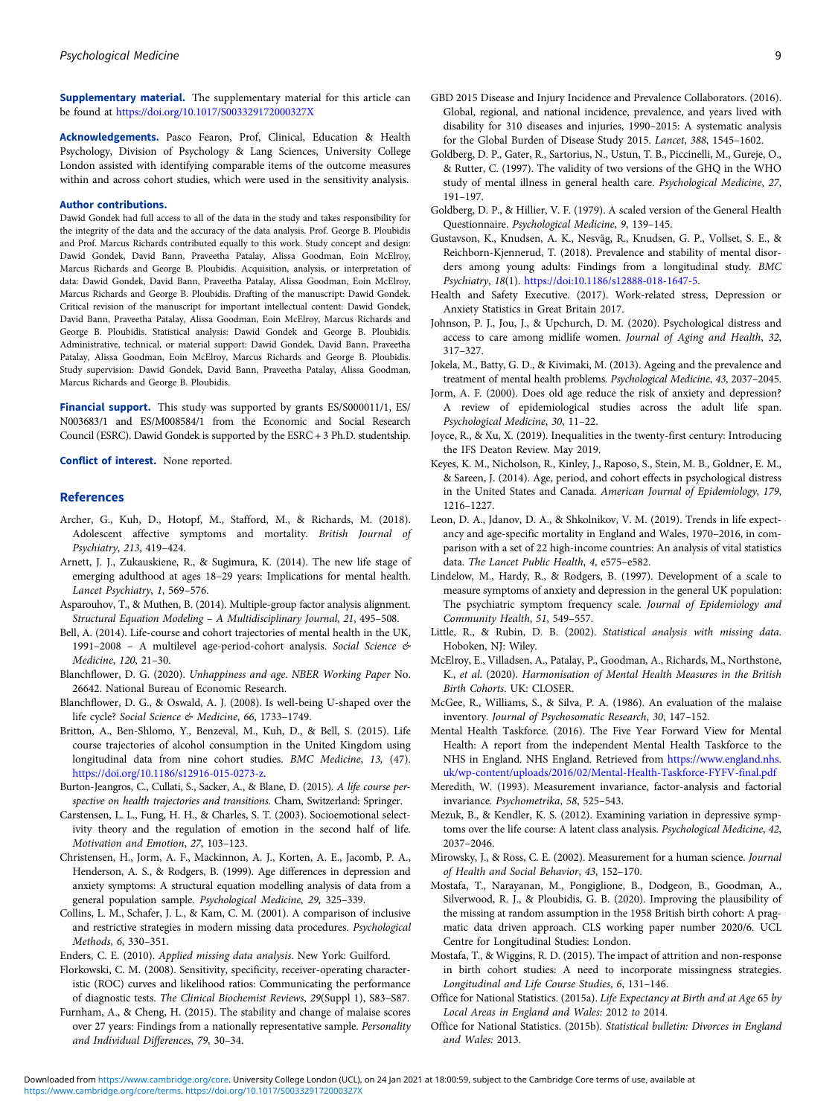<span id="page-8-0"></span>Supplementary material. The supplementary material for this article can be found at <https://doi.org/10.1017/S003329172000327X>

Acknowledgements. Pasco Fearon, Prof, Clinical, Education & Health Psychology, Division of Psychology & Lang Sciences, University College London assisted with identifying comparable items of the outcome measures within and across cohort studies, which were used in the sensitivity analysis.

#### Author contributions.

Dawid Gondek had full access to all of the data in the study and takes responsibility for the integrity of the data and the accuracy of the data analysis. Prof. George B. Ploubidis and Prof. Marcus Richards contributed equally to this work. Study concept and design: Dawid Gondek, David Bann, Praveetha Patalay, Alissa Goodman, Eoin McElroy, Marcus Richards and George B. Ploubidis. Acquisition, analysis, or interpretation of data: Dawid Gondek, David Bann, Praveetha Patalay, Alissa Goodman, Eoin McElroy, Marcus Richards and George B. Ploubidis. Drafting of the manuscript: Dawid Gondek. Critical revision of the manuscript for important intellectual content: Dawid Gondek, David Bann, Praveetha Patalay, Alissa Goodman, Eoin McElroy, Marcus Richards and George B. Ploubidis. Statistical analysis: Dawid Gondek and George B. Ploubidis. Administrative, technical, or material support: Dawid Gondek, David Bann, Praveetha Patalay, Alissa Goodman, Eoin McElroy, Marcus Richards and George B. Ploubidis. Study supervision: Dawid Gondek, David Bann, Praveetha Patalay, Alissa Goodman, Marcus Richards and George B. Ploubidis.

Financial support. This study was supported by grants ES/S000011/1, ES/ N003683/1 and ES/M008584/1 from the Economic and Social Research Council (ESRC). Dawid Gondek is supported by the ESRC + 3 Ph.D. studentship.

Conflict of interest. None reported.

#### References

- Archer, G., Kuh, D., Hotopf, M., Stafford, M., & Richards, M. (2018). Adolescent affective symptoms and mortality. British Journal of Psychiatry, 213, 419–424.
- Arnett, J. J., Zukauskiene, R., & Sugimura, K. (2014). The new life stage of emerging adulthood at ages 18–29 years: Implications for mental health. Lancet Psychiatry, 1, 569–576.
- Asparouhov, T., & Muthen, B. (2014). Multiple-group factor analysis alignment. Structural Equation Modeling – A Multidisciplinary Journal, 21, 495–508.
- Bell, A. (2014). Life-course and cohort trajectories of mental health in the UK, 1991–2008 – A multilevel age-period-cohort analysis. Social Science & Medicine, 120, 21–30.
- Blanchflower, D. G. (2020). Unhappiness and age. NBER Working Paper No. 26642. National Bureau of Economic Research.
- Blanchflower, D. G., & Oswald, A. J. (2008). Is well-being U-shaped over the life cycle? Social Science & Medicine, 66, 1733-1749.
- Britton, A., Ben-Shlomo, Y., Benzeval, M., Kuh, D., & Bell, S. (2015). Life course trajectories of alcohol consumption in the United Kingdom using longitudinal data from nine cohort studies. BMC Medicine, 13, (47). <https://doi.org/10.1186/s12916-015-0273-z>.
- Burton-Jeangros, C., Cullati, S., Sacker, A., & Blane, D. (2015). A life course perspective on health trajectories and transitions. Cham, Switzerland: Springer.
- Carstensen, L. L., Fung, H. H., & Charles, S. T. (2003). Socioemotional selectivity theory and the regulation of emotion in the second half of life. Motivation and Emotion, 27, 103–123.
- Christensen, H., Jorm, A. F., Mackinnon, A. J., Korten, A. E., Jacomb, P. A., Henderson, A. S., & Rodgers, B. (1999). Age differences in depression and anxiety symptoms: A structural equation modelling analysis of data from a general population sample. Psychological Medicine, 29, 325–339.
- Collins, L. M., Schafer, J. L., & Kam, C. M. (2001). A comparison of inclusive and restrictive strategies in modern missing data procedures. Psychological Methods, 6, 330–351.

Enders, C. E. (2010). Applied missing data analysis. New York: Guilford.

- Florkowski, C. M. (2008). Sensitivity, specificity, receiver-operating characteristic (ROC) curves and likelihood ratios: Communicating the performance of diagnostic tests. The Clinical Biochemist Reviews, 29(Suppl 1), S83–S87.
- Furnham, A., & Cheng, H. (2015). The stability and change of malaise scores over 27 years: Findings from a nationally representative sample. Personality and Individual Differences, 79, 30–34.
- GBD 2015 Disease and Injury Incidence and Prevalence Collaborators. (2016). Global, regional, and national incidence, prevalence, and years lived with disability for 310 diseases and injuries, 1990–2015: A systematic analysis for the Global Burden of Disease Study 2015. Lancet, 388, 1545–1602.
- Goldberg, D. P., Gater, R., Sartorius, N., Ustun, T. B., Piccinelli, M., Gureje, O., & Rutter, C. (1997). The validity of two versions of the GHQ in the WHO study of mental illness in general health care. Psychological Medicine, 27, 191–197.
- Goldberg, D. P., & Hillier, V. F. (1979). A scaled version of the General Health Questionnaire. Psychological Medicine, 9, 139–145.
- Gustavson, K., Knudsen, A. K., Nesvåg, R., Knudsen, G. P., Vollset, S. E., & Reichborn-Kjennerud, T. (2018). Prevalence and stability of mental disorders among young adults: Findings from a longitudinal study. BMC Psychiatry, 18(1). <https://doi:10.1186/s12888-018-1647-5>.
- Health and Safety Executive. (2017). Work-related stress, Depression or Anxiety Statistics in Great Britain 2017.
- Johnson, P. J., Jou, J., & Upchurch, D. M. (2020). Psychological distress and access to care among midlife women. Journal of Aging and Health, 32, 317–327.
- Jokela, M., Batty, G. D., & Kivimaki, M. (2013). Ageing and the prevalence and treatment of mental health problems. Psychological Medicine, 43, 2037–2045.
- Jorm, A. F. (2000). Does old age reduce the risk of anxiety and depression? A review of epidemiological studies across the adult life span. Psychological Medicine, 30, 11–22.
- Joyce, R., & Xu, X. (2019). Inequalities in the twenty-first century: Introducing the IFS Deaton Review. May 2019.
- Keyes, K. M., Nicholson, R., Kinley, J., Raposo, S., Stein, M. B., Goldner, E. M., & Sareen, J. (2014). Age, period, and cohort effects in psychological distress in the United States and Canada. American Journal of Epidemiology, 179, 1216–1227.
- Leon, D. A., Jdanov, D. A., & Shkolnikov, V. M. (2019). Trends in life expectancy and age-specific mortality in England and Wales, 1970–2016, in comparison with a set of 22 high-income countries: An analysis of vital statistics data. The Lancet Public Health, 4, e575–e582.
- Lindelow, M., Hardy, R., & Rodgers, B. (1997). Development of a scale to measure symptoms of anxiety and depression in the general UK population: The psychiatric symptom frequency scale. Journal of Epidemiology and Community Health, 51, 549–557.
- Little, R., & Rubin, D. B. (2002). Statistical analysis with missing data. Hoboken, NJ: Wiley.
- McElroy, E., Villadsen, A., Patalay, P., Goodman, A., Richards, M., Northstone, K., et al. (2020). Harmonisation of Mental Health Measures in the British Birth Cohorts. UK: CLOSER.
- McGee, R., Williams, S., & Silva, P. A. (1986). An evaluation of the malaise inventory. Journal of Psychosomatic Research, 30, 147–152.
- Mental Health Taskforce. (2016). The Five Year Forward View for Mental Health: A report from the independent Mental Health Taskforce to the NHS in England. NHS England. Retrieved from [https://www.england.nhs.](https://www.england.nhs.uk/wp-content/uploads/2016/02/Mental-Health-Taskforce-FYFV-final.pdf) [uk/wp-content/uploads/2016/02/Mental-Health-Taskforce-FYFV-final.pdf](https://www.england.nhs.uk/wp-content/uploads/2016/02/Mental-Health-Taskforce-FYFV-final.pdf)
- Meredith, W. (1993). Measurement invariance, factor-analysis and factorial invariance. Psychometrika, 58, 525–543.
- Mezuk, B., & Kendler, K. S. (2012). Examining variation in depressive symptoms over the life course: A latent class analysis. Psychological Medicine, 42, 2037–2046.
- Mirowsky, J., & Ross, C. E. (2002). Measurement for a human science. Journal of Health and Social Behavior, 43, 152–170.
- Mostafa, T., Narayanan, M., Pongiglione, B., Dodgeon, B., Goodman, A., Silverwood, R. J., & Ploubidis, G. B. (2020). Improving the plausibility of the missing at random assumption in the 1958 British birth cohort: A pragmatic data driven approach. CLS working paper number 2020/6. UCL Centre for Longitudinal Studies: London.
- Mostafa, T., & Wiggins, R. D. (2015). The impact of attrition and non-response in birth cohort studies: A need to incorporate missingness strategies. Longitudinal and Life Course Studies, 6, 131–146.
- Office for National Statistics. (2015a). Life Expectancy at Birth and at Age 65 by Local Areas in England and Wales: 2012 to 2014.
- Office for National Statistics. (2015b). Statistical bulletin: Divorces in England and Wales: 2013.